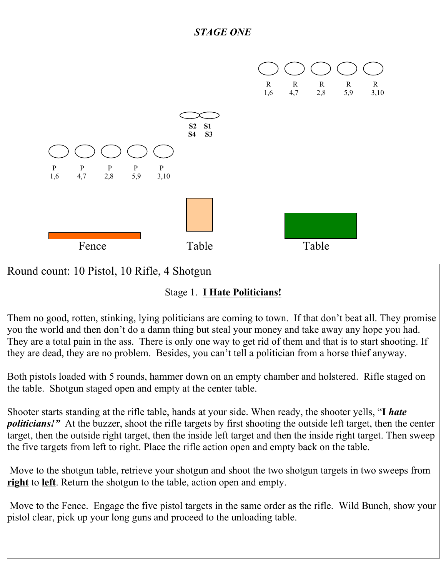

## Round count: 10 Pistol, 10 Rifle, 4 Shotgun

### Stage 1. **I Hate Politicians!**

Them no good, rotten, stinking, lying politicians are coming to town. If that don't beat all. They promise you the world and then don't do a damn thing but steal your money and take away any hope you had. They are a total pain in the ass. There is only one way to get rid of them and that is to start shooting. If they are dead, they are no problem. Besides, you can't tell a politician from a horse thief anyway.

Both pistols loaded with 5 rounds, hammer down on an empty chamber and holstered. Rifle staged on the table. Shotgun staged open and empty at the center table.

Shooter starts standing at the rifle table, hands at your side. When ready, the shooter yells, "**I** *hate politicians!"* At the buzzer, shoot the rifle targets by first shooting the outside left target, then the center target, then the outside right target, then the inside left target and then the inside right target. Then sweep the five targets from left to right. Place the rifle action open and empty back on the table.

 Move to the shotgun table, retrieve your shotgun and shoot the two shotgun targets in two sweeps from **right** to **left**. Return the shotgun to the table, action open and empty.

Move to the Fence. Engage the five pistol targets in the same order as the rifle. Wild Bunch, show your pistol clear, pick up your long guns and proceed to the unloading table.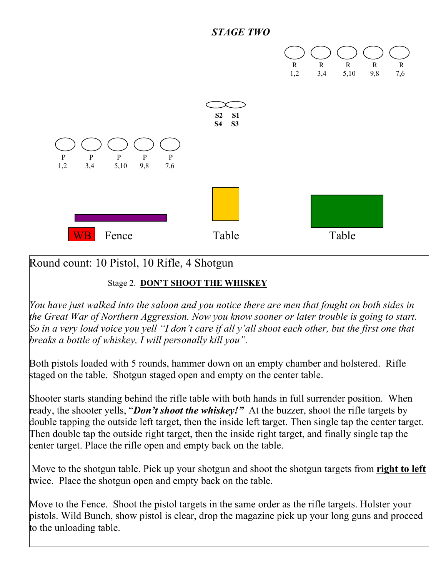



### Round count: 10 Pistol, 10 Rifle, 4 Shotgun

#### Stage 2. **DON'T SHOOT THE WHISKEY**

*You have just walked into the saloon and you notice there are men that fought on both sides in the Great War of Northern Aggression. Now you know sooner or later trouble is going to start. So in a very loud voice you yell "I don't care if all y'all shoot each other, but the first one that breaks a bottle of whiskey, I will personally kill you".*

Both pistols loaded with 5 rounds, hammer down on an empty chamber and holstered. Rifle staged on the table. Shotgun staged open and empty on the center table.

Shooter starts standing behind the rifle table with both hands in full surrender position. When ready, the shooter yells, "*Don't shoot the whiskey!"* At the buzzer, shoot the rifle targets by double tapping the outside left target, then the inside left target. Then single tap the center target. Then double tap the outside right target, then the inside right target, and finally single tap the center target. Place the rifle open and empty back on the table.

 Move to the shotgun table. Pick up your shotgun and shoot the shotgun targets from **right to left** twice. Place the shotgun open and empty back on the table.

Move to the Fence. Shoot the pistol targets in the same order as the rifle targets. Holster your pistols. Wild Bunch, show pistol is clear, drop the magazine pick up your long guns and proceed to the unloading table.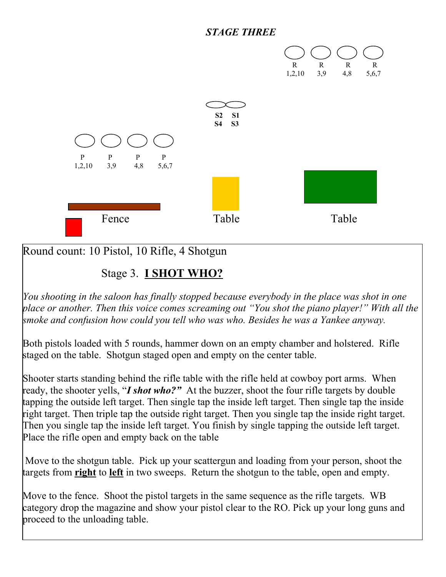#### *STAGE THREE*



Round count: 10 Pistol, 10 Rifle, 4 Shotgun

### Stage 3. **I SHOT WHO?**

*You shooting in the saloon has finally stopped because everybody in the place was shot in one place or another. Then this voice comes screaming out "You shot the piano player!" With all the smoke and confusion how could you tell who was who. Besides he was a Yankee anyway.* 

Both pistols loaded with 5 rounds, hammer down on an empty chamber and holstered. Rifle staged on the table. Shotgun staged open and empty on the center table.

Shooter starts standing behind the rifle table with the rifle held at cowboy port arms. When ready, the shooter yells, "*I shot who?"* At the buzzer, shoot the four rifle targets by double tapping the outside left target. Then single tap the inside left target. Then single tap the inside right target. Then triple tap the outside right target. Then you single tap the inside right target. Then you single tap the inside left target. You finish by single tapping the outside left target. Place the rifle open and empty back on the table

 Move to the shotgun table. Pick up your scattergun and loading from your person, shoot the targets from **right** to **left** in two sweeps. Return the shotgun to the table, open and empty.

Move to the fence. Shoot the pistol targets in the same sequence as the rifle targets. WB category drop the magazine and show your pistol clear to the RO. Pick up your long guns and proceed to the unloading table.